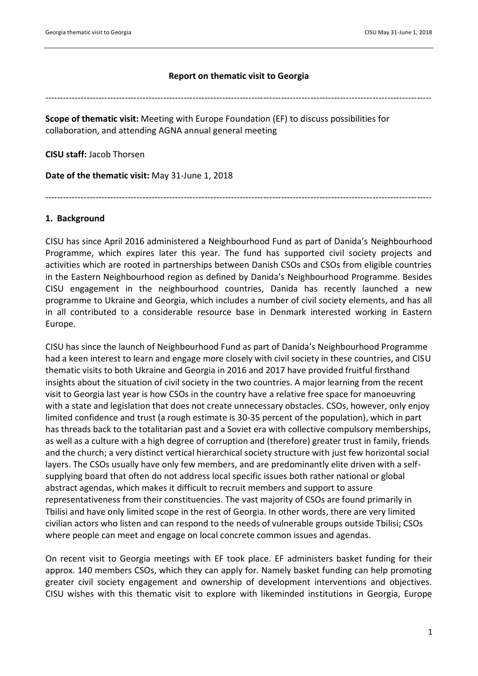### **Report on thematic visit to Georgia**

-----------------------------------------------------------------------------------------------------------------------------------

**Scope of thematic visit:** Meeting with Europe Foundation (EF) to discuss possibilities for collaboration, and attending AGNA annual general meeting

**CISU staff:** Jacob Thorsen

**Date of the thematic visit:** May 31-June 1, 2018

-----------------------------------------------------------------------------------------------------------------------------------

### **1. Background**

CISU has since April 2016 administered a Neighbourhood Fund as part of Danida's Neighbourhood Programme, which expires later this year. The fund has supported civil society projects and activities which are rooted in partnerships between Danish CSOs and CSOs from eligible countries in the Eastern Neighbourhood region as defined by Danida's Neighbourhood Programme. Besides CISU engagement in the neighbourhood countries, Danida has recently launched a new programme to Ukraine and Georgia, which includes a number of civil society elements, and has all in all contributed to a considerable resource base in Denmark interested working in Eastern Europe.

CISU has since the launch of Neighbourhood Fund as part of Danida's Neighbourhood Programme had a keen interest to learn and engage more closely with civil society in these countries, and CISU thematic visits to both Ukraine and Georgia in 2016 and 2017 have provided fruitful firsthand insights about the situation of civil society in the two countries. A major learning from the recent visit to Georgia last year is how CSOs in the country have a relative free space for manoeuvring with a state and legislation that does not create unnecessary obstacles. CSOs, however, only enjoy limited confidence and trust (a rough estimate is 30-35 percent of the population), which in part has threads back to the totalitarian past and a Soviet era with collective compulsory memberships, as well as a culture with a high degree of corruption and (therefore) greater trust in family, friends and the church; a very distinct vertical hierarchical society structure with just few horizontal social layers. The CSOs usually have only few members, and are predominantly elite driven with a selfsupplying board that often do not address local specific issues both rather national or global abstract agendas, which makes it difficult to recruit members and support to assure representativeness from their constituencies. The vast majority of CSOs are found primarily in Tbilisi and have only limited scope in the rest of Georgia. In other words, there are very limited civilian actors who listen and can respond to the needs of vulnerable groups outside Tbilisi; CSOs where people can meet and engage on local concrete common issues and agendas.

On recent visit to Georgia meetings with EF took place. EF administers basket funding for their approx. 140 members CSOs, which they can apply for. Namely basket funding can help promoting greater civil society engagement and ownership of development interventions and objectives. CISU wishes with this thematic visit to explore with likeminded institutions in Georgia, Europe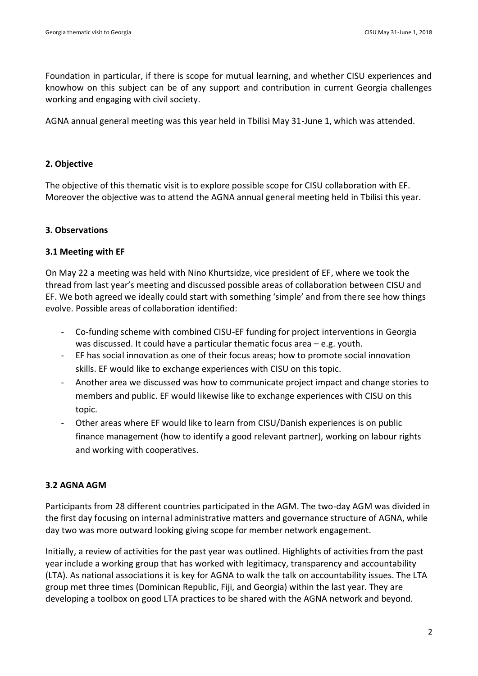Foundation in particular, if there is scope for mutual learning, and whether CISU experiences and knowhow on this subject can be of any support and contribution in current Georgia challenges working and engaging with civil society.

AGNA annual general meeting was this year held in Tbilisi May 31-June 1, which was attended.

## **2. Objective**

The objective of this thematic visit is to explore possible scope for CISU collaboration with EF. Moreover the objective was to attend the AGNA annual general meeting held in Tbilisi this year.

# **3. Observations**

## **3.1 Meeting with EF**

On May 22 a meeting was held with Nino Khurtsidze, vice president of EF, where we took the thread from last year's meeting and discussed possible areas of collaboration between CISU and EF. We both agreed we ideally could start with something 'simple' and from there see how things evolve. Possible areas of collaboration identified:

- Co-funding scheme with combined CISU-EF funding for project interventions in Georgia was discussed. It could have a particular thematic focus area – e.g. youth.
- EF has social innovation as one of their focus areas; how to promote social innovation skills. EF would like to exchange experiences with CISU on this topic.
- Another area we discussed was how to communicate project impact and change stories to members and public. EF would likewise like to exchange experiences with CISU on this topic.
- Other areas where EF would like to learn from CISU/Danish experiences is on public finance management (how to identify a good relevant partner), working on labour rights and working with cooperatives.

# **3.2 AGNA AGM**

Participants from 28 different countries participated in the AGM. The two-day AGM was divided in the first day focusing on internal administrative matters and governance structure of AGNA, while day two was more outward looking giving scope for member network engagement.

Initially, a review of activities for the past year was outlined. Highlights of activities from the past year include a working group that has worked with legitimacy, transparency and accountability (LTA). As national associations it is key for AGNA to walk the talk on accountability issues. The LTA group met three times (Dominican Republic, Fiji, and Georgia) within the last year. They are developing a toolbox on good LTA practices to be shared with the AGNA network and beyond.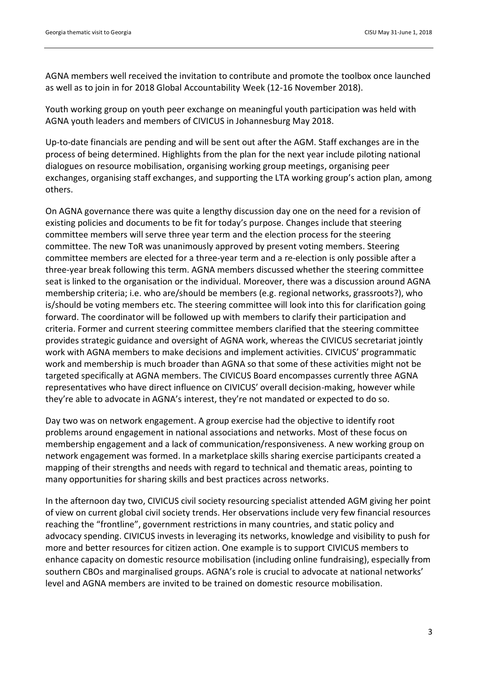AGNA members well received the invitation to contribute and promote the toolbox once launched as well as to join in for 2018 Global Accountability Week (12-16 November 2018).

Youth working group on youth peer exchange on meaningful youth participation was held with AGNA youth leaders and members of CIVICUS in Johannesburg May 2018.

Up-to-date financials are pending and will be sent out after the AGM. Staff exchanges are in the process of being determined. Highlights from the plan for the next year include piloting national dialogues on resource mobilisation, organising working group meetings, organising peer exchanges, organising staff exchanges, and supporting the LTA working group's action plan, among others.

On AGNA governance there was quite a lengthy discussion day one on the need for a revision of existing policies and documents to be fit for today's purpose. Changes include that steering committee members will serve three year term and the election process for the steering committee. The new ToR was unanimously approved by present voting members. Steering committee members are elected for a three-year term and a re-election is only possible after a three-year break following this term. AGNA members discussed whether the steering committee seat is linked to the organisation or the individual. Moreover, there was a discussion around AGNA membership criteria; i.e. who are/should be members (e.g. regional networks, grassroots?), who is/should be voting members etc. The steering committee will look into this for clarification going forward. The coordinator will be followed up with members to clarify their participation and criteria. Former and current steering committee members clarified that the steering committee provides strategic guidance and oversight of AGNA work, whereas the CIVICUS secretariat jointly work with AGNA members to make decisions and implement activities. CIVICUS' programmatic work and membership is much broader than AGNA so that some of these activities might not be targeted specifically at AGNA members. The CIVICUS Board encompasses currently three AGNA representatives who have direct influence on CIVICUS' overall decision-making, however while they're able to advocate in AGNA's interest, they're not mandated or expected to do so.

Day two was on network engagement. A group exercise had the objective to identify root problems around engagement in national associations and networks. Most of these focus on membership engagement and a lack of communication/responsiveness. A new working group on network engagement was formed. In a marketplace skills sharing exercise participants created a mapping of their strengths and needs with regard to technical and thematic areas, pointing to many opportunities for sharing skills and best practices across networks.

In the afternoon day two, CIVICUS civil society resourcing specialist attended AGM giving her point of view on current global civil society trends. Her observations include very few financial resources reaching the "frontline", government restrictions in many countries, and static policy and advocacy spending. CIVICUS invests in leveraging its networks, knowledge and visibility to push for more and better resources for citizen action. One example is to support CIVICUS members to enhance capacity on domestic resource mobilisation (including online fundraising), especially from southern CBOs and marginalised groups. AGNA's role is crucial to advocate at national networks' level and AGNA members are invited to be trained on domestic resource mobilisation.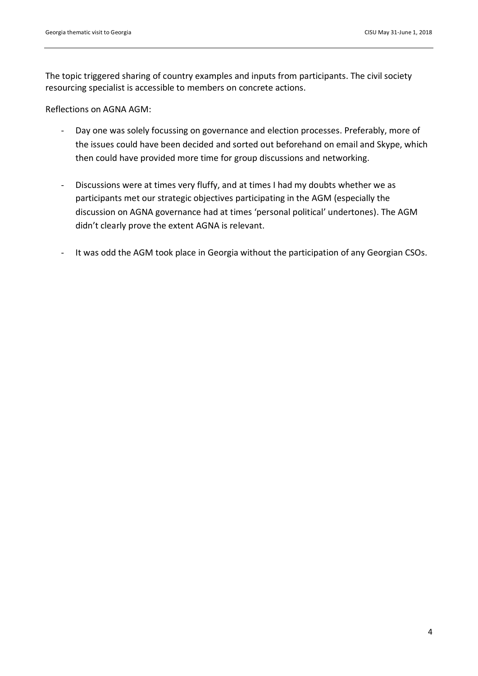The topic triggered sharing of country examples and inputs from participants. The civil society resourcing specialist is accessible to members on concrete actions.

Reflections on AGNA AGM:

- Day one was solely focussing on governance and election processes. Preferably, more of the issues could have been decided and sorted out beforehand on email and Skype, which then could have provided more time for group discussions and networking.
- Discussions were at times very fluffy, and at times I had my doubts whether we as participants met our strategic objectives participating in the AGM (especially the discussion on AGNA governance had at times 'personal political' undertones). The AGM didn't clearly prove the extent AGNA is relevant.
- It was odd the AGM took place in Georgia without the participation of any Georgian CSOs.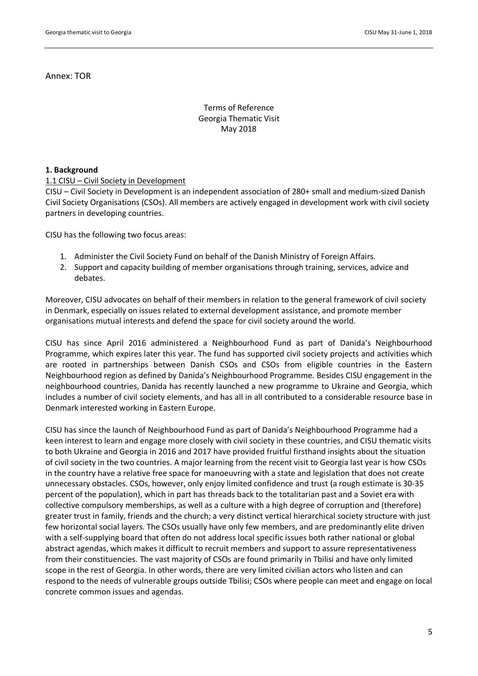Annex: TOR

## Terms of Reference Georgia Thematic Visit May 2018

### **1. Background**

#### 1.1 CISU – Civil Society in Development

CISU – Civil Society in Development is an independent association of 280+ small and medium-sized Danish Civil Society Organisations (CSOs). All members are actively engaged in development work with civil society partners in developing countries.

CISU has the following two focus areas:

- 1. Administer the Civil Society Fund on behalf of the Danish Ministry of Foreign Affairs.
- 2. Support and capacity building of member organisations through training, services, advice and debates.

Moreover, CISU advocates on behalf of their members in relation to the general framework of civil society in Denmark, especially on issues related to external development assistance, and promote member organisations mutual interests and defend the space for civil society around the world.

CISU has since April 2016 administered a Neighbourhood Fund as part of Danida's Neighbourhood Programme, which expires later this year. The fund has supported civil society projects and activities which are rooted in partnerships between Danish CSOs and CSOs from eligible countries in the Eastern Neighbourhood region as defined by Danida's Neighbourhood Programme. Besides CISU engagement in the neighbourhood countries, Danida has recently launched a new programme to Ukraine and Georgia, which includes a number of civil society elements, and has all in all contributed to a considerable resource base in Denmark interested working in Eastern Europe.

CISU has since the launch of Neighbourhood Fund as part of Danida's Neighbourhood Programme had a keen interest to learn and engage more closely with civil society in these countries, and CISU thematic visits to both Ukraine and Georgia in 2016 and 2017 have provided fruitful firsthand insights about the situation of civil society in the two countries. A major learning from the recent visit to Georgia last year is how CSOs in the country have a relative free space for manoeuvring with a state and legislation that does not create unnecessary obstacles. CSOs, however, only enjoy limited confidence and trust (a rough estimate is 30-35 percent of the population), which in part has threads back to the totalitarian past and a Soviet era with collective compulsory memberships, as well as a culture with a high degree of corruption and (therefore) greater trust in family, friends and the church; a very distinct vertical hierarchical society structure with just few horizontal social layers. The CSOs usually have only few members, and are predominantly elite driven with a self-supplying board that often do not address local specific issues both rather national or global abstract agendas, which makes it difficult to recruit members and support to assure representativeness from their constituencies. The vast majority of CSOs are found primarily in Tbilisi and have only limited scope in the rest of Georgia. In other words, there are very limited civilian actors who listen and can respond to the needs of vulnerable groups outside Tbilisi; CSOs where people can meet and engage on local concrete common issues and agendas.